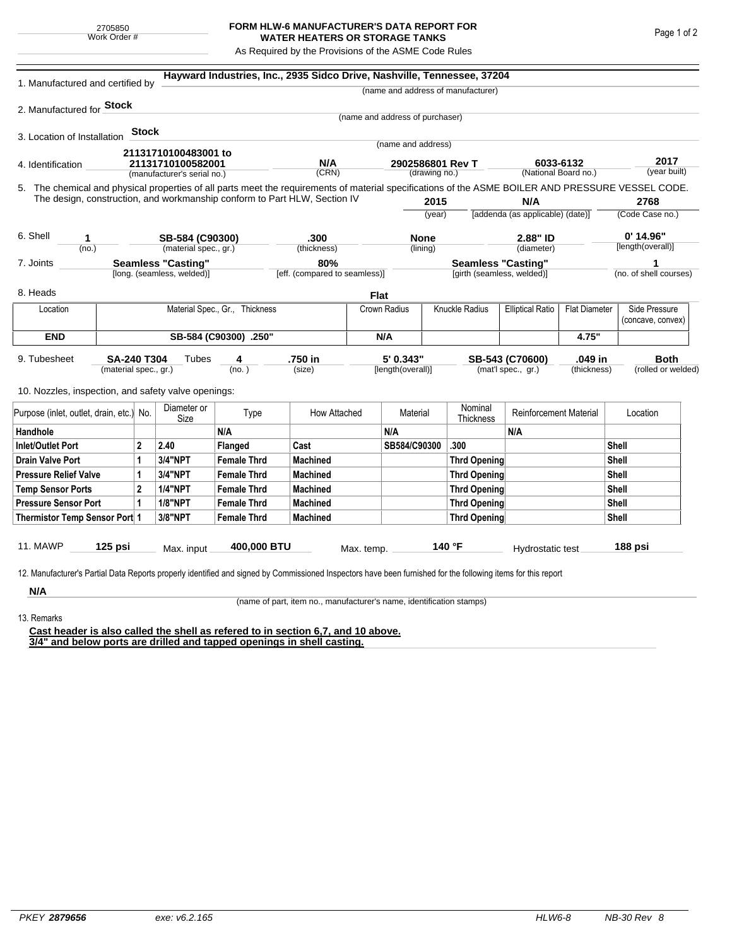## **FORM HLW-6 MANUFACTURER'S DATA REPORT FOR WATER HEATERS OR STORAGE TANKS**

As Required by the Provisions of the ASME Code Rules

| 1. Manufactured and certified by                                                                                                                                                                                                               |           |                     |                                      | Hayward Industries, Inc., 2935 Sidco Drive, Nashville, Tennessee, 37204 |                 |                                                         |                                   |                      |                                           |                                   |                             |                    |                                  |  |
|------------------------------------------------------------------------------------------------------------------------------------------------------------------------------------------------------------------------------------------------|-----------|---------------------|--------------------------------------|-------------------------------------------------------------------------|-----------------|---------------------------------------------------------|-----------------------------------|----------------------|-------------------------------------------|-----------------------------------|-----------------------------|--------------------|----------------------------------|--|
|                                                                                                                                                                                                                                                |           |                     |                                      |                                                                         |                 |                                                         |                                   |                      | (name and address of manufacturer)        |                                   |                             |                    |                                  |  |
| 2. Manufactured for Stock                                                                                                                                                                                                                      |           |                     |                                      |                                                                         |                 |                                                         |                                   |                      |                                           |                                   |                             |                    |                                  |  |
|                                                                                                                                                                                                                                                |           |                     |                                      |                                                                         |                 |                                                         | (name and address of purchaser)   |                      |                                           |                                   |                             |                    |                                  |  |
| 3. Location of Installation                                                                                                                                                                                                                    |           | <b>Stock</b>        |                                      |                                                                         |                 |                                                         |                                   |                      |                                           |                                   |                             |                    |                                  |  |
|                                                                                                                                                                                                                                                |           |                     | 21131710100483001 to                 |                                                                         |                 |                                                         | (name and address)                |                      |                                           |                                   |                             |                    |                                  |  |
| 4. Identification                                                                                                                                                                                                                              |           |                     | 21131710100582001                    |                                                                         | N/A<br>(CRN)    |                                                         | 2902586801 Rev T<br>(drawing no.) |                      |                                           | 6033-6132<br>(National Board no.) |                             |                    | 2017<br>(year built)             |  |
|                                                                                                                                                                                                                                                |           |                     | (manufacturer's serial no.)          |                                                                         |                 |                                                         |                                   |                      |                                           |                                   |                             |                    |                                  |  |
| 5. The chemical and physical properties of all parts meet the requirements of material specifications of the ASME BOILER AND PRESSURE VESSEL CODE.<br>The design, construction, and workmanship conform to Part HLW, Section IV<br>2015<br>N/A |           |                     |                                      |                                                                         |                 |                                                         |                                   |                      |                                           | 2768                              |                             |                    |                                  |  |
|                                                                                                                                                                                                                                                |           |                     |                                      |                                                                         |                 |                                                         | (year)                            |                      | [addenda (as applicable) (date)]          |                                   |                             | (Code Case no.)    |                                  |  |
|                                                                                                                                                                                                                                                |           |                     |                                      |                                                                         |                 |                                                         |                                   |                      |                                           |                                   |                             |                    |                                  |  |
| 6. Shell<br>1                                                                                                                                                                                                                                  |           |                     | SB-584 (C90300)                      |                                                                         | .300            |                                                         | <b>None</b>                       |                      | 2.88" ID                                  |                                   |                             |                    | $0'$ 14.96"<br>[length(overall)] |  |
| (no.)                                                                                                                                                                                                                                          |           |                     | (material spec., gr.)                | (thickness)                                                             |                 |                                                         | (lining)                          |                      | (diameter)                                |                                   |                             |                    |                                  |  |
| <b>Seamless "Casting"</b><br>7. Joints<br>[long. (seamless, welded)]                                                                                                                                                                           |           |                     | 80%<br>[eff. (compared to seamless)] |                                                                         |                 | <b>Seamless "Casting"</b><br>[girth (seamless, welded)] |                                   |                      |                                           |                                   | 1<br>(no. of shell courses) |                    |                                  |  |
| 8. Heads                                                                                                                                                                                                                                       |           |                     |                                      |                                                                         |                 | <b>Flat</b>                                             |                                   |                      |                                           |                                   |                             |                    |                                  |  |
| Location                                                                                                                                                                                                                                       |           |                     |                                      | Material Spec., Gr., Thickness                                          |                 |                                                         | Crown Radius                      |                      | Knuckle Radius<br><b>Elliptical Ratio</b> |                                   | <b>Flat Diameter</b>        |                    | Side Pressure                    |  |
|                                                                                                                                                                                                                                                |           |                     |                                      |                                                                         |                 |                                                         |                                   |                      |                                           |                                   |                             |                    | (concave, convex)                |  |
| <b>END</b>                                                                                                                                                                                                                                     |           |                     |                                      | SB-584 (C90300) .250"                                                   |                 |                                                         |                                   | N/A                  |                                           |                                   | 4.75"                       |                    |                                  |  |
| 5' 0.343"<br>.750 in<br>.049 in<br>9. Tubesheet<br><b>SA-240 T304</b><br>Tubes<br>SB-543 (C70600)<br>4                                                                                                                                         |           |                     |                                      |                                                                         |                 |                                                         |                                   |                      |                                           | <b>Both</b>                       |                             |                    |                                  |  |
| (material spec., gr.)                                                                                                                                                                                                                          |           |                     |                                      | (no.)                                                                   | (size)          |                                                         | [length(overall)]                 |                      | (mat'l spec., gr.)<br>(thickness)         |                                   |                             | (rolled or welded) |                                  |  |
|                                                                                                                                                                                                                                                |           |                     |                                      |                                                                         |                 |                                                         |                                   |                      |                                           |                                   |                             |                    |                                  |  |
| 10. Nozzles, inspection, and safety valve openings:                                                                                                                                                                                            |           |                     |                                      |                                                                         |                 |                                                         |                                   |                      |                                           |                                   |                             |                    |                                  |  |
| Purpose (inlet, outlet, drain, etc.) No.                                                                                                                                                                                                       |           | Diameter or<br>Size | Type                                 | How Attached                                                            |                 | Material                                                |                                   | Nominal<br>Thickness | <b>Reinforcement Material</b>             |                                   | Location                    |                    |                                  |  |
| Handhole                                                                                                                                                                                                                                       |           |                     |                                      | N/A                                                                     |                 |                                                         | N/A                               |                      |                                           | N/A                               |                             |                    |                                  |  |
| $\mathbf{2}$<br>Inlet/Outlet Port                                                                                                                                                                                                              |           |                     | 2.40                                 | Flanged                                                                 | Cast            |                                                         | SB584/C90300                      |                      | .300                                      |                                   |                             | Shell              |                                  |  |
| Drain Valve Port<br>1                                                                                                                                                                                                                          |           |                     | <b>3/4"NPT</b>                       | <b>Female Thrd</b>                                                      | <b>Machined</b> |                                                         |                                   |                      | Thrd Opening                              |                                   |                             |                    | Shell                            |  |
| <b>Pressure Relief Valve</b><br>1                                                                                                                                                                                                              |           |                     | 3/4"NPT                              | <b>Female Thrd</b>                                                      | <b>Machined</b> |                                                         |                                   |                      | Thrd Opening                              |                                   |                             |                    | Shell                            |  |
| $\overline{2}$<br><b>Temp Sensor Ports</b>                                                                                                                                                                                                     |           |                     | <b>1/4"NPT</b>                       | <b>Female Thrd</b>                                                      | <b>Machined</b> |                                                         |                                   |                      | Thrd Opening                              |                                   |                             | Shell              |                                  |  |
| <b>Pressure Sensor Port</b><br>1                                                                                                                                                                                                               |           |                     | <b>1/8"NPT</b>                       | <b>Female Thrd</b>                                                      | <b>Machined</b> |                                                         |                                   |                      | Thrd Opening                              |                                   |                             |                    | Shell                            |  |
| Thermistor Temp Sensor Port 1                                                                                                                                                                                                                  |           |                     | 3/8"NPT                              | <b>Female Thrd</b>                                                      | <b>Machined</b> |                                                         |                                   |                      | Thrd Opening                              |                                   | Shell                       |                    |                                  |  |
|                                                                                                                                                                                                                                                |           |                     |                                      |                                                                         |                 |                                                         |                                   |                      |                                           |                                   |                             |                    |                                  |  |
| 11. MAWP                                                                                                                                                                                                                                       | $125$ psi |                     | Max. input                           | 400,000 BTU                                                             |                 | Max. temp.                                              |                                   |                      | 140 °F                                    | Hydrostatic test                  |                             |                    | 188 psi                          |  |
|                                                                                                                                                                                                                                                |           |                     |                                      |                                                                         |                 |                                                         |                                   |                      |                                           |                                   |                             |                    |                                  |  |
| 12. Manufacturer's Partial Data Reports properly identified and signed by Commissioned Inspectors have been furnished for the following items for this report                                                                                  |           |                     |                                      |                                                                         |                 |                                                         |                                   |                      |                                           |                                   |                             |                    |                                  |  |
| N/A                                                                                                                                                                                                                                            |           |                     |                                      |                                                                         |                 |                                                         |                                   |                      |                                           |                                   |                             |                    |                                  |  |

(name of part, item no., manufacturer's name, identification stamps)

13. Remarks

**Cast header is also called the shell as refered to in section 6,7, and 10 above. 3/4" and below ports are drilled and tapped openings in shell casting.**